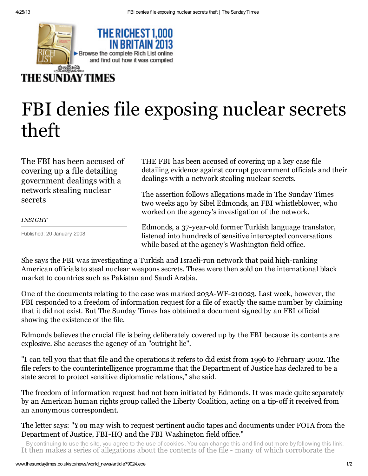

## **THE SUNDAY TIMES**

## FBI denies file exposing nuclear secrets theft

The FBI has been accused of covering up a file detailing government dealings with a network stealing nuclear secrets

## *INSIGHT*

Published: 20 January 2008

THE FBI has been accused of covering up a key case file detailing evidence against corrupt government officials and their dealings with a network stealing nuclear secrets.

The assertion follows allegations made in The Sunday Times two weeks ago by Sibel Edmonds, an FBI whistleblower, who worked on the agency's investigation of the network.

Edmonds, a 37-year-old former Turkish language translator, listened into hundreds of sensitive intercepted conversations while based at the agency's Washington field office.

She says the FBI was investigating a Turkish and Israeli-run network that paid high-ranking American officials to steal nuclear weapons secrets. These were then sold on the international black market to countries such as Pakistan and Saudi Arabia.

One of the documents relating to the case was marked 203A-WF-210023. Last week, however, the FBI responded to a freedom of information request for a file of exactly the same number by claiming that it did not exist. But The Sunday Times has obtained a document signed by an FBI official showing the existence of the file.

Edmonds believes the crucial file is being deliberately covered up by the FBI because its contents are explosive. She accuses the agency of an "outright lie".

"I can tell you that that file and the operations it refers to did exist from 1996 to February 2002. The file refers to the counterintelligence programme that the Department of Justice has declared to be a state secret to protect sensitive diplomatic relations," she said.

The freedom of information request had not been initiated by Edmonds. It was made quite separately by an American human rights group called the Liberty Coalition, acting on a tip-off it received from an anonymous correspondent.

The letter says: "You may wish to request pertinent audio tapes and documents under FOIA from the Department of Justice, FBI-HQ and the FBI Washington field office."

It then makes a series of allegations about the contents of the file - many of which corroborate the By continuing to use the site, you agree to the use of cookies. You can change this and find out more by following this [link.](http://www.nidp.com/)